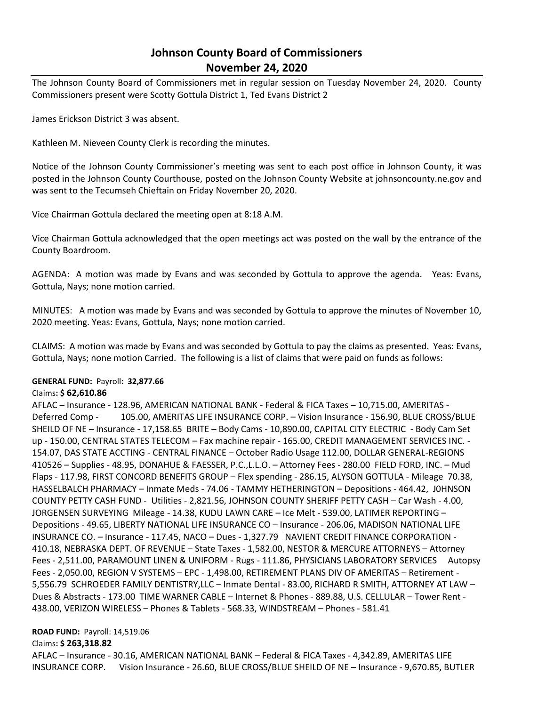# **Johnson County Board of Commissioners November 24, 2020**

The Johnson County Board of Commissioners met in regular session on Tuesday November 24, 2020. County Commissioners present were Scotty Gottula District 1, Ted Evans District 2

James Erickson District 3 was absent.

Kathleen M. Nieveen County Clerk is recording the minutes.

Notice of the Johnson County Commissioner's meeting was sent to each post office in Johnson County, it was posted in the Johnson County Courthouse, posted on the Johnson County Website at johnsoncounty.ne.gov and was sent to the Tecumseh Chieftain on Friday November 20, 2020.

Vice Chairman Gottula declared the meeting open at 8:18 A.M.

Vice Chairman Gottula acknowledged that the open meetings act was posted on the wall by the entrance of the County Boardroom.

AGENDA: A motion was made by Evans and was seconded by Gottula to approve the agenda. Yeas: Evans, Gottula, Nays; none motion carried.

MINUTES: A motion was made by Evans and was seconded by Gottula to approve the minutes of November 10, 2020 meeting. Yeas: Evans, Gottula, Nays; none motion carried.

CLAIMS: A motion was made by Evans and was seconded by Gottula to pay the claims as presented. Yeas: Evans, Gottula, Nays; none motion Carried. The following is a list of claims that were paid on funds as follows:

#### **GENERAL FUND:** Payroll**: 32,877.66**

#### Claims**: \$ 62,610.86**

AFLAC – Insurance - 128.96, AMERICAN NATIONAL BANK - Federal & FICA Taxes – 10,715.00, AMERITAS - Deferred Comp - 105.00, AMERITAS LIFE INSURANCE CORP. – Vision Insurance - 156.90, BLUE CROSS/BLUE SHEILD OF NE – Insurance - 17,158.65 BRITE – Body Cams - 10,890.00, CAPITAL CITY ELECTRIC - Body Cam Set up - 150.00, CENTRAL STATES TELECOM – Fax machine repair - 165.00, CREDIT MANAGEMENT SERVICES INC. - 154.07, DAS STATE ACCTING - CENTRAL FINANCE – October Radio Usage 112.00, DOLLAR GENERAL-REGIONS 410526 – Supplies - 48.95, DONAHUE & FAESSER, P.C.,L.L.O. – Attorney Fees - 280.00 FIELD FORD, INC. – Mud Flaps - 117.98, FIRST CONCORD BENEFITS GROUP – Flex spending - 286.15, ALYSON GOTTULA - Mileage 70.38, HASSELBALCH PHARMACY – Inmate Meds - 74.06 - TAMMY HETHERINGTON – Depositions - 464.42, J0HNSON COUNTY PETTY CASH FUND - Utilities - 2,821.56, JOHNSON COUNTY SHERIFF PETTY CASH – Car Wash - 4.00, JORGENSEN SURVEYING Mileage - 14.38, KUDU LAWN CARE – Ice Melt - 539.00, LATIMER REPORTING – Depositions - 49.65, LIBERTY NATIONAL LIFE INSURANCE CO – Insurance - 206.06, MADISON NATIONAL LIFE INSURANCE CO. – Insurance - 117.45, NACO – Dues - 1,327.79 NAVIENT CREDIT FINANCE CORPORATION - 410.18, NEBRASKA DEPT. OF REVENUE – State Taxes - 1,582.00, NESTOR & MERCURE ATTORNEYS – Attorney Fees - 2,511.00, PARAMOUNT LINEN & UNIFORM - Rugs - 111.86, PHYSICIANS LABORATORY SERVICES Autopsy Fees - 2,050.00, REGION V SYSTEMS – EPC - 1,498.00, RETIREMENT PLANS DIV OF AMERITAS – Retirement - 5,556.79 SCHROEDER FAMILY DENTISTRY,LLC – Inmate Dental - 83.00, RICHARD R SMITH, ATTORNEY AT LAW – Dues & Abstracts - 173.00 TIME WARNER CABLE – Internet & Phones - 889.88, U.S. CELLULAR – Tower Rent - 438.00, VERIZON WIRELESS – Phones & Tablets - 568.33, WINDSTREAM – Phones - 581.41

#### **ROAD FUND:** Payroll: 14,519.06

#### Claims**: \$ 263,318.82**

AFLAC – Insurance - 30.16, AMERICAN NATIONAL BANK – Federal & FICA Taxes - 4,342.89, AMERITAS LIFE INSURANCE CORP. Vision Insurance - 26.60, BLUE CROSS/BLUE SHEILD OF NE – Insurance - 9,670.85, BUTLER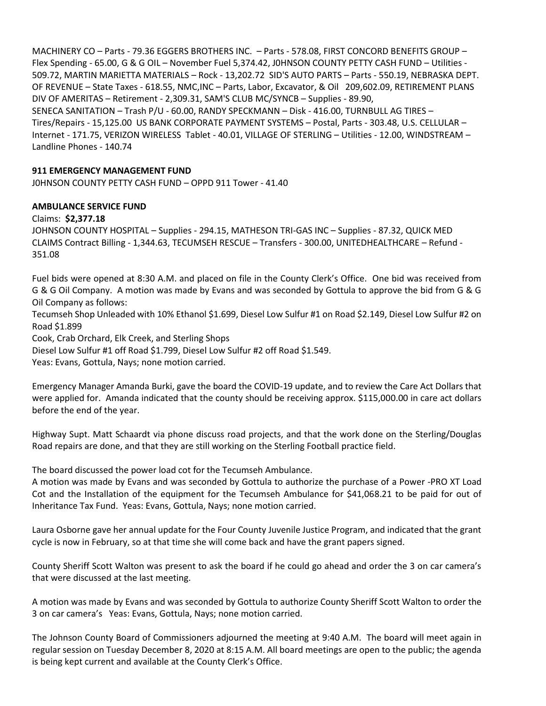MACHINERY CO – Parts - 79.36 EGGERS BROTHERS INC. – Parts - 578.08, FIRST CONCORD BENEFITS GROUP – Flex Spending - 65.00, G & G OIL – November Fuel 5,374.42, J0HNSON COUNTY PETTY CASH FUND – Utilities - 509.72, MARTIN MARIETTA MATERIALS – Rock - 13,202.72 SID'S AUTO PARTS – Parts - 550.19, NEBRASKA DEPT. OF REVENUE – State Taxes - 618.55, NMC,INC – Parts, Labor, Excavator, & Oil 209,602.09, RETIREMENT PLANS DIV OF AMERITAS – Retirement - 2,309.31, SAM'S CLUB MC/SYNCB – Supplies - 89.90, SENECA SANITATION – Trash P/U - 60.00, RANDY SPECKMANN – Disk - 416.00, TURNBULL AG TIRES – Tires/Repairs - 15,125.00 US BANK CORPORATE PAYMENT SYSTEMS – Postal, Parts - 303.48, U.S. CELLULAR – Internet - 171.75, VERIZON WIRELESS Tablet - 40.01, VILLAGE OF STERLING – Utilities - 12.00, WINDSTREAM – Landline Phones - 140.74

### **911 EMERGENCY MANAGEMENT FUND**

J0HNSON COUNTY PETTY CASH FUND – OPPD 911 Tower - 41.40

## **AMBULANCE SERVICE FUND**

#### Claims: **\$2,377.18**

JOHNSON COUNTY HOSPITAL – Supplies - 294.15, MATHESON TRI-GAS INC – Supplies - 87.32, QUICK MED CLAIMS Contract Billing - 1,344.63, TECUMSEH RESCUE – Transfers - 300.00, UNITEDHEALTHCARE – Refund - 351.08

Fuel bids were opened at 8:30 A.M. and placed on file in the County Clerk's Office. One bid was received from G & G Oil Company. A motion was made by Evans and was seconded by Gottula to approve the bid from G & G Oil Company as follows:

Tecumseh Shop Unleaded with 10% Ethanol \$1.699, Diesel Low Sulfur #1 on Road \$2.149, Diesel Low Sulfur #2 on Road \$1.899

Cook, Crab Orchard, Elk Creek, and Sterling Shops

Diesel Low Sulfur #1 off Road \$1.799, Diesel Low Sulfur #2 off Road \$1.549.

Yeas: Evans, Gottula, Nays; none motion carried.

Emergency Manager Amanda Burki, gave the board the COVID-19 update, and to review the Care Act Dollars that were applied for. Amanda indicated that the county should be receiving approx. \$115,000.00 in care act dollars before the end of the year.

Highway Supt. Matt Schaardt via phone discuss road projects, and that the work done on the Sterling/Douglas Road repairs are done, and that they are still working on the Sterling Football practice field.

The board discussed the power load cot for the Tecumseh Ambulance.

A motion was made by Evans and was seconded by Gottula to authorize the purchase of a Power -PRO XT Load Cot and the Installation of the equipment for the Tecumseh Ambulance for \$41,068.21 to be paid for out of Inheritance Tax Fund. Yeas: Evans, Gottula, Nays; none motion carried.

Laura Osborne gave her annual update for the Four County Juvenile Justice Program, and indicated that the grant cycle is now in February, so at that time she will come back and have the grant papers signed.

County Sheriff Scott Walton was present to ask the board if he could go ahead and order the 3 on car camera's that were discussed at the last meeting.

A motion was made by Evans and was seconded by Gottula to authorize County Sheriff Scott Walton to order the 3 on car camera's Yeas: Evans, Gottula, Nays; none motion carried.

The Johnson County Board of Commissioners adjourned the meeting at 9:40 A.M. The board will meet again in regular session on Tuesday December 8, 2020 at 8:15 A.M. All board meetings are open to the public; the agenda is being kept current and available at the County Clerk's Office.